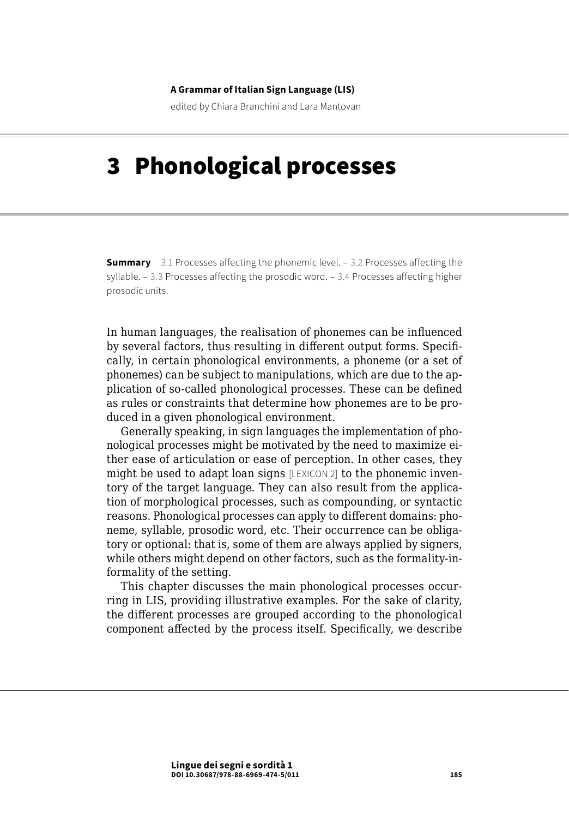#### **A Grammar of Italian Sign Language (LIS)**

edited by Chiara Branchini and Lara Mantovan

# 3 Phonological processes

**Summary** [3.1 Processes affecting the phonemic level.](#page-1-0) – 3.2 Processes affecting the [syllable](#page-13-0). – [3.3 Processes affecting the prosodic word.](#page-18-0) – [3.4 Processes affecting higher](#page-20-0)  [prosodic units.](#page-20-0)

In human languages, the realisation of phonemes can be influenced by several factors, thus resulting in different output forms. Specifically, in certain phonological environments, a phoneme (or a set of phonemes) can be subject to manipulations, which are due to the application of so-called phonological processes. These can be defined as rules or constraints that determine how phonemes are to be produced in a given phonological environment.

Generally speaking, in sign languages the implementation of phonological processes might be motivated by the need to maximize either ease of articulation or ease of perception. In other cases, they might be used to adapt loan signs [LEXICON 2] to the phonemic inventory of the target language. They can also result from the application of morphological processes, such as compounding, or syntactic reasons. Phonological processes can apply to different domains: phoneme, syllable, prosodic word, etc. Their occurrence can be obligatory or optional: that is, some of them are always applied by signers, while others might depend on other factors, such as the formality-informality of the setting.

This chapter discusses the main phonological processes occurring in LIS, providing illustrative examples. For the sake of clarity, the different processes are grouped according to the phonological component affected by the process itself. Specifically, we describe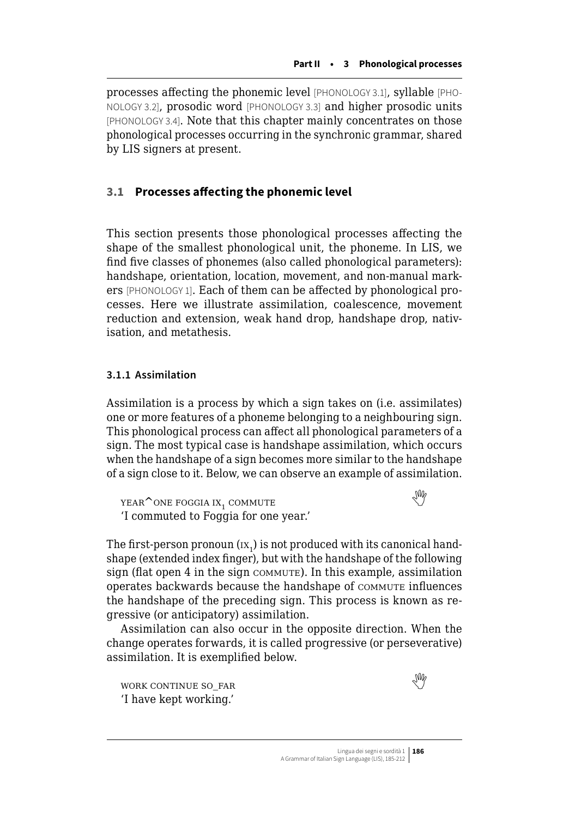<span id="page-1-0"></span>processes affecting the phonemic level [PHONOLOGY 3.1], syllable [PHO-NOLOGY 3.2], prosodic word [PHONOLOGY 3.3] and higher prosodic units [PHONOLOGY 3.4]. Note that this chapter mainly concentrates on those phonological processes occurring in the synchronic grammar, shared by LIS signers at present.

## **3.1 Processes affecting the phonemic level**

This section presents those phonological processes affecting the shape of the smallest phonological unit, the phoneme. In LIS, we find five classes of phonemes (also called phonological parameters): handshape, orientation, location, movement, and non-manual markers [PHONOLOGY 1]. Each of them can be affected by phonological processes. Here we illustrate assimilation, coalescence, movement reduction and extension, weak hand drop, handshape drop, nativisation, and metathesis.

## **3.1.1 Assimilation**

Assimilation is a process by which a sign takes on (i.e. assimilates) one or more features of a phoneme belonging to a neighbouring sign. This phonological process can affect all phonological parameters of a sign. The most typical case is handshape assimilation, which occurs when the handshape of a sign becomes more similar to the handshape of a sign close to it. Below, we can observe an example of assimilation.

 $YEAR^{\wedge}$ ONEFOGGIA IX<sub>1</sub> COMMUTE 'I commuted to Foggia for one year.'

The first-person pronoun ( $\text{ix}_1$ ) is not produced with its canonical handshape (extended index finger), but with the handshape of the following sign (flat open  $4$  in the sign commute). In this example, assimilation operates backwards because the handshape of commute influences the handshape of the preceding sign. This process is known as regressive (or anticipatory) assimilation.

Assimilation can also occur in the opposite direction. When the change operates forwards, it is called progressive (or perseverative) assimilation. It is exemplified below.

WORK CONTINUE SO FAR 'I have kept working.'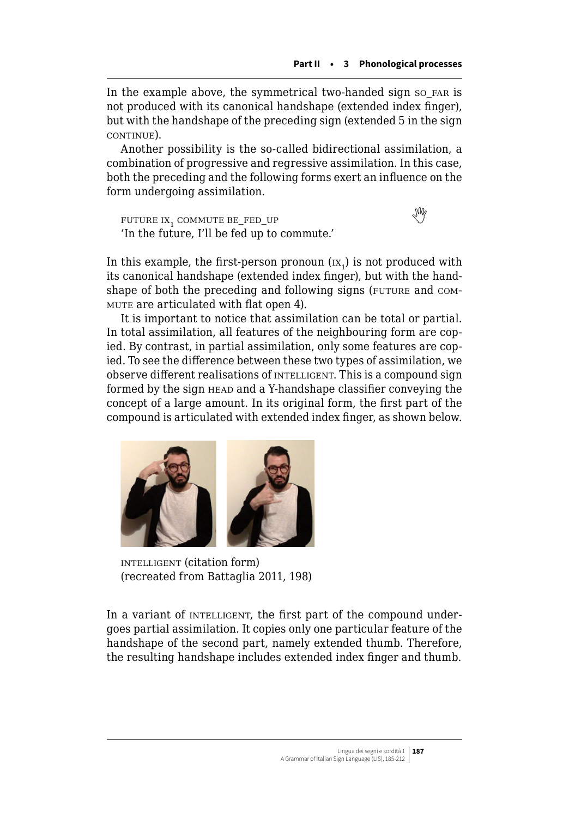In the example above, the symmetrical two-handed sign so\_far is not produced with its canonical handshape (extended index finger), but with the handshape of the preceding sign (extended 5 in the sign continue).

Another possibility is the so-called bidirectional assimilation, a combination of progressive and regressive assimilation. In this case, both the preceding and the following forms exert an influence on the form undergoing assimilation.

FUTUREIX, COMMUTE BE\_FED\_UP 'In the future, I'll be fed up to commute.'

In this example, the first-person pronoun  $\overline{(\text{ix}_1)}$  is not produced with its canonical handshape (extended index finger), but with the handshape of both the preceding and following signs (FUTURE and COMmute are articulated with flat open 4).

It is important to notice that assimilation can be total or partial. In total assimilation, all features of the neighbouring form are copied. By contrast, in partial assimilation, only some features are copied. To see the difference between these two types of assimilation, we observe different realisations of INTELLIGENT. This is a compound sign formed by the sign HEAD and a Y-handshape classifier conveying the concept of a large amount. In its original form, the first part of the compound is articulated with extended index finger, as shown below.



intelligent (citation form) (recreated from Battaglia 2011, 198)

In a variant of INTELLIGENT, the first part of the compound undergoes partial assimilation. It copies only one particular feature of the handshape of the second part, namely extended thumb. Therefore, the resulting handshape includes extended index finger and thumb.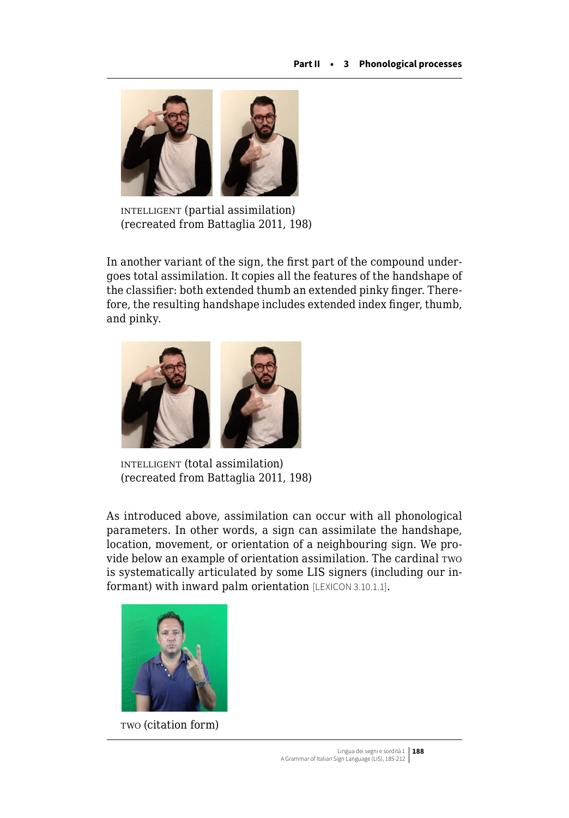

intelligent (partial assimilation) (recreated from Battaglia 2011, 198)

In another variant of the sign, the first part of the compound undergoes total assimilation. It copies all the features of the handshape of the classifier: both extended thumb an extended pinky finger. Therefore, the resulting handshape includes extended index finger, thumb, and pinky.



intelligent (total assimilation) (recreated from Battaglia 2011, 198)

As introduced above, assimilation can occur with all phonological parameters. In other words, a sign can assimilate the handshape, location, movement, or orientation of a neighbouring sign. We provide below an example of orientation assimilation. The cardinal two is systematically articulated by some LIS signers (including our informant) with inward palm orientation [LEXICON 3.10.1.1].



two (citation form)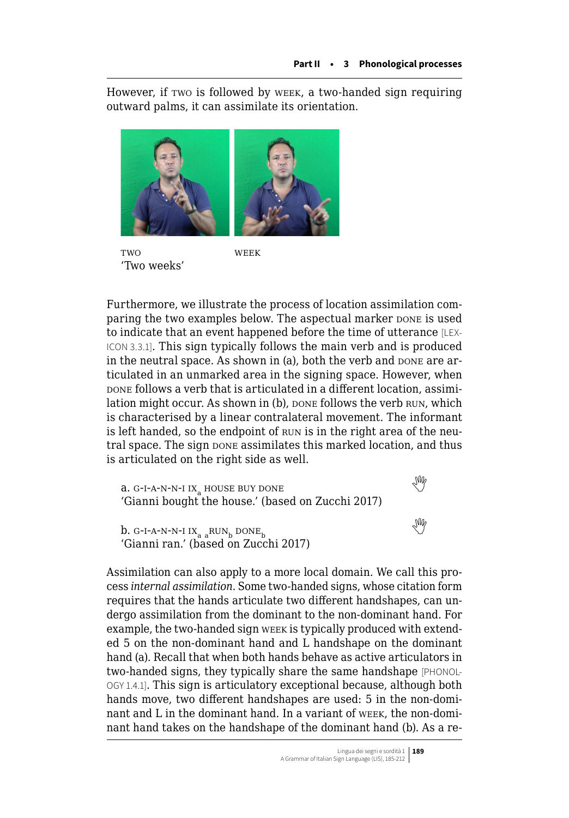However, if two is followed by week, a two-handed sign requiring outward palms, it can assimilate its orientation.



TWO WFFK 'Two weeks'

Furthermore, we illustrate the process of location assimilation comparing the two examples below. The aspectual marker pone is used to indicate that an event happened before the time of utterance [LEX-ICON 3.3.1]. This sign typically follows the main verb and is produced in the neutral space. As shown in (a), both the verb and DONE are articulated in an unmarked area in the signing space. However, when bone follows a verb that is articulated in a different location, assimilation might occur. As shown in (b), pone follows the verb RUN, which is characterised by a linear contralateral movement. The informant is left handed, so the endpoint of run is in the right area of the neutral space. The sign pone assimilates this marked location, and thus is articulated on the right side as well.

 $a. G-I-A-N-N-I IX<sub>a</sub> HOUSE BUY DONE$  $a. G-I-A-N-N-I IX<sub>a</sub> HOUSE BUY DONE$  $a. G-I-A-N-N-I IX<sub>a</sub> HOUSE BUY DONE$ 'Gianni bought the house.' (based on Zucchi 2017) b.G-I-A-N-N-I IX<sub>a a</sub>RUN<sub>b</sub> DONE<sub>b</sub> 'Gianni ran.' (based on Zucchi 2017)

Assimilation can also apply to a more local domain. We call this process *internal assimilation*. Some two-handed signs, whose citation form requires that the hands articulate two different handshapes, can undergo assimilation from the dominant to the non-dominant hand. For example, the two-handed sign week is typically produced with extended 5 on the non-dominant hand and L handshape on the dominant hand (a). Recall that when both hands behave as active articulators in two-handed signs, they typically share the same handshape [PHONOL-OGY 1.4.1]. This sign is articulatory exceptional because, although both hands move, two different handshapes are used: 5 in the non-dominant and L in the dominant hand. In a variant of week, the non-dominant hand takes on the handshape of the dominant hand (b). As a re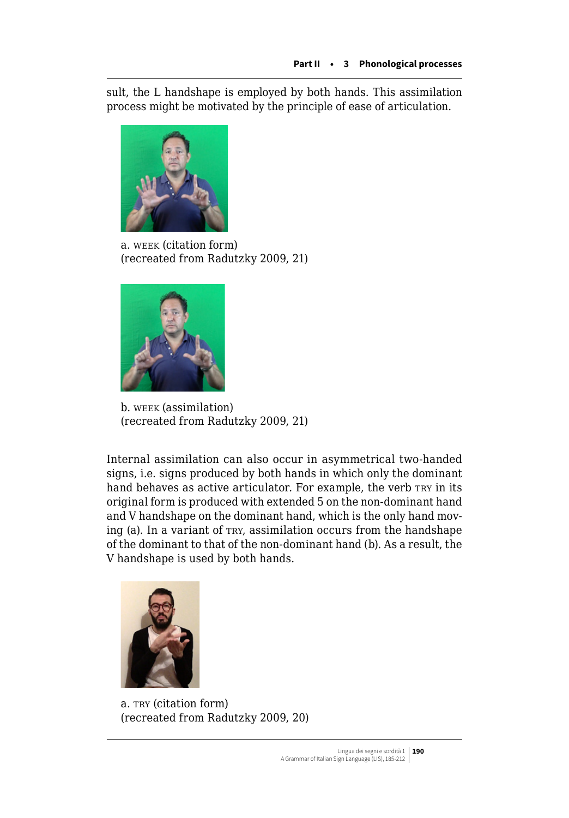sult, the L handshape is employed by both hands. This assimilation process might be motivated by the principle of ease of articulation.



a. week (citation form) (recreated from Radutzky 2009, 21)



b. week (assimilation) (recreated from Radutzky 2009, 21)

Internal assimilation can also occur in asymmetrical two-handed signs, i.e. signs produced by both hands in which only the dominant hand behaves as active articulator. For example, the verb TRY in its original form is produced with extended 5 on the non-dominant hand and V handshape on the dominant hand, which is the only hand moving (a). In a variant of try, assimilation occurs from the handshape of the dominant to that of the non-dominant hand (b). As a result, the V handshape is used by both hands.



a. TRY (citation form) (recreated from Radutzky 2009, 20)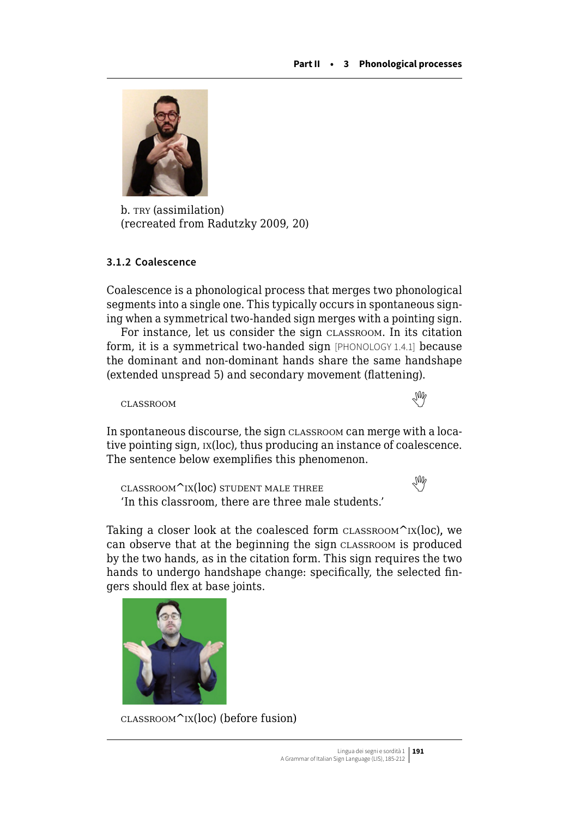

b. TRY (assimilation) (recreated from Radutzky 2009, 20)

## **3.1.2 Coalescence**

Coalescence is a phonological process that merges two phonological segments into a single one. This typically occurs in spontaneous signing when a symmetrical two-handed sign merges with a pointing sign.

For instance, let us consider the sign classroom. In its citation form, it is a symmetrical two-handed sign [PHONOLOGY 1.4.1] because the dominant and non-dominant hands share the same handshape (extended unspread 5) and secondary movement (flattening).

classroom 



In spontaneous discourse, the sign classroom can merge with a locative pointing sign, ix(loc), thus producing an instance of coalescence. The sentence below exemplifies this phenomenon.

 $\text{CLASSRoom}^{\text{N}}$ ix(loc)student male three 'In this classroom, there are three male students.'

Taking a closer look at the coalesced form  $CLASSRoom^kIX(loc)$ , we can observe that at the beginning the sign classroom is produced by the two hands, as in the citation form. This sign requires the two hands to undergo handshape change: specifically, the selected fingers should flex at base joints.



 $\text{CLASSRoom}^{\wedge}$ IX(loc) (before fusion)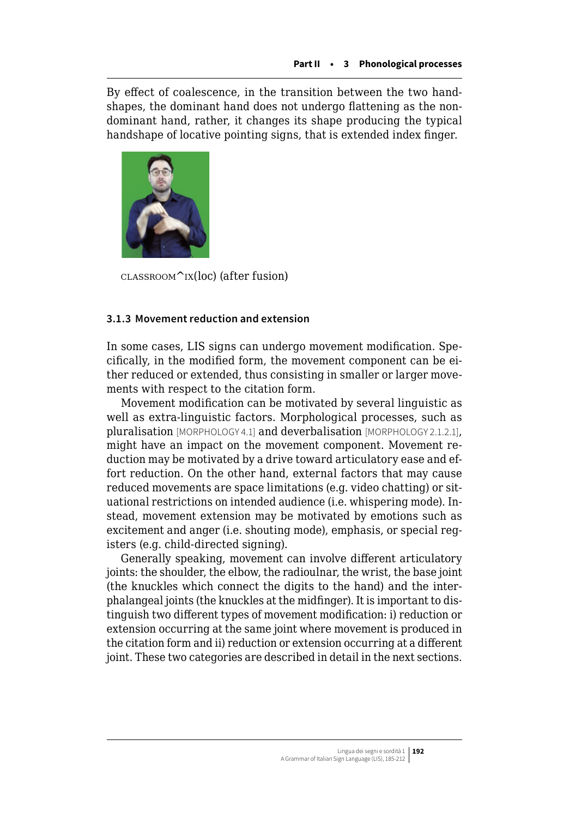By effect of coalescence, in the transition between the two handshapes, the dominant hand does not undergo flattening as the nondominant hand, rather, it changes its shape producing the typical handshape of locative pointing signs, that is extended index finger.



 $\text{CLASSRoom}^{\text{th}}(loc)$  (after fusion)

## **3.1.3 Movement reduction and extension**

In some cases, LIS signs can undergo movement modification. Specifically, in the modified form, the movement component can be either reduced or extended, thus consisting in smaller or larger movements with respect to the citation form.

Movement modification can be motivated by several linguistic as well as extra-linguistic factors. Morphological processes, such as pluralisation [MORPHOLOGY 4.1] and deverbalisation [MORPHOLOGY 2.1.2.1], might have an impact on the movement component. Movement reduction may be motivated by a drive toward articulatory ease and effort reduction. On the other hand, external factors that may cause reduced movements are space limitations (e.g. video chatting) or situational restrictions on intended audience (i.e. whispering mode). Instead, movement extension may be motivated by emotions such as excitement and anger (i.e. shouting mode), emphasis, or special registers (e.g. child-directed signing).

Generally speaking, movement can involve different articulatory joints: the shoulder, the elbow, the radioulnar, the wrist, the base joint (the knuckles which connect the digits to the hand) and the interphalangeal joints (the knuckles at the midfinger). It is important to distinguish two different types of movement modification: i) reduction or extension occurring at the same joint where movement is produced in the citation form and ii) reduction or extension occurring at a different joint. These two categories are described in detail in the next sections.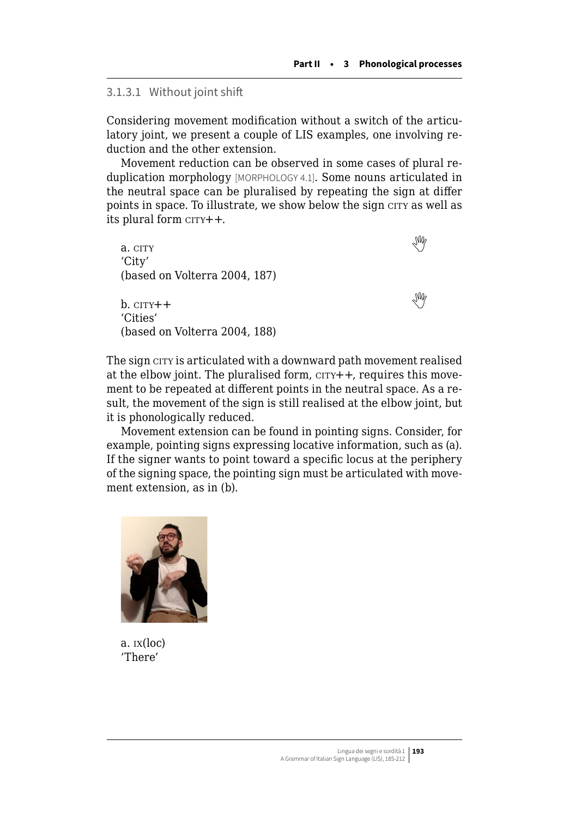## 3.1.3.1 Without joint shift

Considering movement modification without a switch of the articulatory joint, we present a couple of LIS examples, one involving reduction and the other extension.

Movement reduction can be observed in some cases of plural reduplication morphology [MORPHOLOGY 4.1]. Some nouns articulated in the neutral space can be pluralised by repeating the sign at differ points in space. To illustrate, we show below the sign city as well as its plural form  $c$  $r$  $r$  $r$  $+$  $+$ .

a. $\text{c}$  city 'City' (based on Volterra 2004, 187) b. $\text{c}$  city++ 'Cities' (based on Volterra 2004, 188)

The sign city is articulated with a downward path movement realised at the elbow joint. The pluralised form,  $c$  $r$  $r$  $+$  $+$ , requires this movement to be repeated at different points in the neutral space. As a result, the movement of the sign is still realised at the elbow joint, but it is phonologically reduced.

Movement extension can be found in pointing signs. Consider, for example, pointing signs expressing locative information, such as (a). If the signer wants to point toward a specific locus at the periphery of the signing space, the pointing sign must be articulated with movement extension, as in (b).



a. ix(loc) 'There'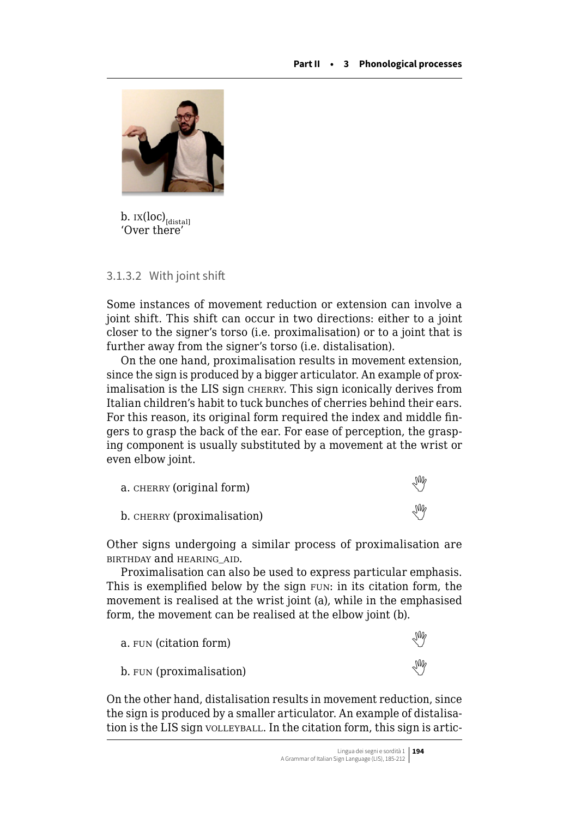

b.  $ix(loc)_{[distal]}$ 'Over there'

## 3.1.3.2 With joint shift

Some instances of movement reduction or extension can involve a joint shift. This shift can occur in two directions: either to a joint closer to the signer's torso (i.e. proximalisation) or to a joint that is further away from the signer's torso (i.e. distalisation).

On the one hand, proximalisation results in movement extension, since the sign is produced by a bigger articulator. An example of proximalisation is the LIS sign cherry. This sign iconically derives from Italian children's habit to tuck bunches of cherries behind their ears. For this reason, its original form required the index and middle fingers to grasp the back of the ear. For ease of perception, the grasping component is usually substituted by a movement at the wrist or even elbow joint.

| а. снєвку (original form)   | √₩  |
|-----------------------------|-----|
| b. CHERRY (proximalisation) | Ind |

Other signs undergoing a similar process of proximalisation are birthday and hearing\_aid.

Proximalisation can also be used to express particular emphasis. This is exemplified below by the sign FUN: in its citation form, the movement is realised at the wrist joint (a), while in the emphasised form, the movement can be realised at the elbow joint (b).



On the other hand, distalisation results in movement reduction, since the sign is produced by a smaller articulator. An example of distalisation is the LIS sign volleyball. In the citation form, this sign is artic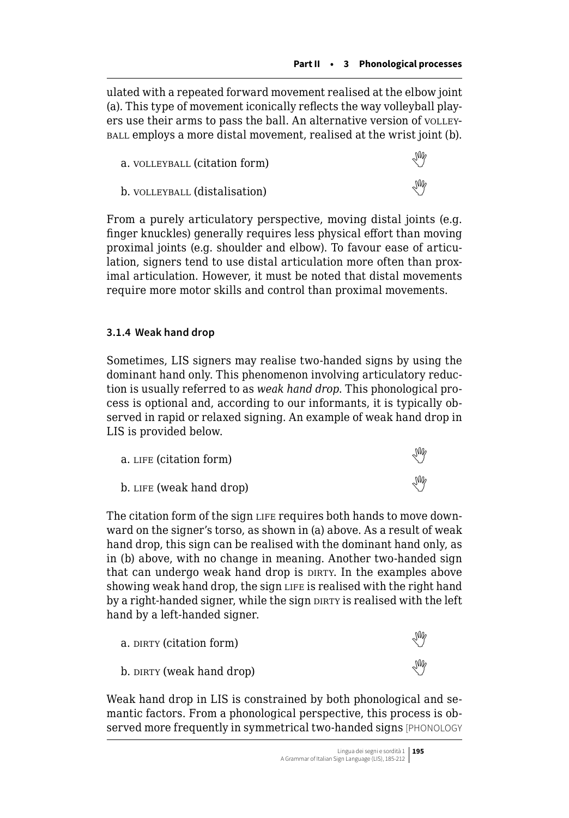ulated with a repeated forward movement realised at the elbow joint (a). This type of movement iconically reflects the way volleyball players use their arms to pass the ball. An alternative version of volleyball employs a more distal movement, realised at the wrist joint (b).

| a. VOLLEYBALL (citation form) | Ind |
|-------------------------------|-----|
| b. VOLLEYBALL (distalisation) | Ind |

From a purely articulatory perspective, moving distal joints (e.g. finger knuckles) generally requires less physical effort than moving proximal joints (e.g. shoulder and elbow). To favour ease of articulation, signers tend to use distal articulation more often than proximal articulation. However, it must be noted that distal movements require more motor skills and control than proximal movements.

# **3.1.4 Weak hand drop**

Sometimes, LIS signers may realise two-handed signs by using the dominant hand only. This phenomenon involving articulatory reduction is usually referred to as *weak hand drop*. This phonological process is optional and, according to our informants, it is typically observed in rapid or relaxed signing. An example of weak hand drop in LIS is provided below.

| a. LIFE (citation form)  | УŴ |
|--------------------------|----|
| b. LIFE (weak hand drop) | УM |

The citation form of the sign LIFE requires both hands to move downward on the signer's torso, as shown in (a) above. As a result of weak hand drop, this sign can be realised with the dominant hand only, as in (b) above, with no change in meaning. Another two-handed sign that can undergo weak hand drop is DIRTY. In the examples above showing weak hand drop, the sign LIFE is realised with the right hand by a right-handed signer, while the sign DIRTY is realised with the left hand by a left-handed signer.

| a. DIRTY (citation form)  | УM |
|---------------------------|----|
| b. DIRTY (weak hand drop) | Ng |

Weak hand drop in LIS is constrained by both phonological and semantic factors. From a phonological perspective, this process is observed more frequently in symmetrical two-handed signs [PHONOLOGY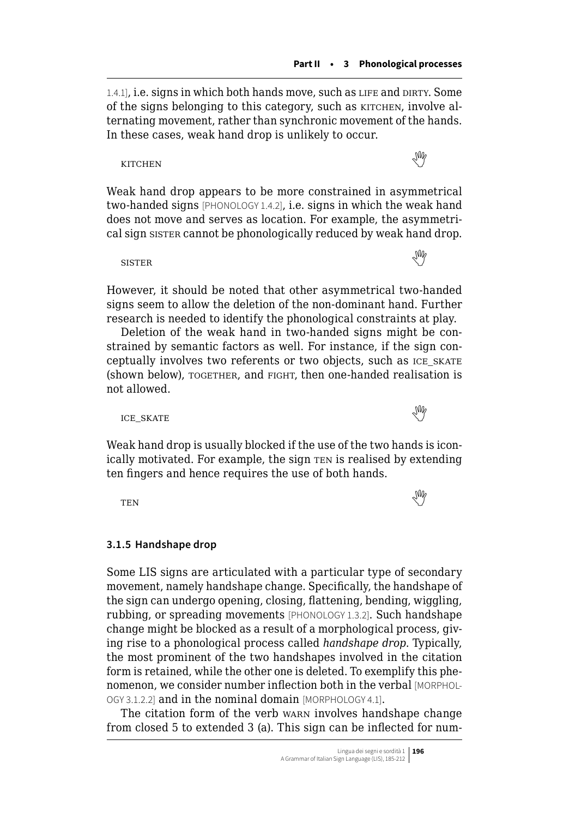1.4.1], i.e. signs in which both hands move, such as LIFE and DIRTY. Some of the signs belonging to this category, such as KITCHEN, involve alternating movement, rather than synchronic movement of the hands. In these cases, weak hand drop is unlikely to occur.

kitchenweiser der der der den staatsmann der der de staatsmann der de staatsmann der de staatsmann de staatsm

Weak hand drop appears to be more constrained in asymmetrical two-handed signs [PHONOLOGY 1.4.2], i.e. signs in which the weak hand does not move and serves as location. For example, the asymmetrical sign sister cannot be phonologically reduced by weak hand drop.

sisterand the set of the set of the set of the set of the set of the set of the set of the set of the set of the set of the set of the set of the set of the set of the set of the set of the set of the set of the set of th

However, it should be noted that other asymmetrical two-handed signs seem to allow the deletion of the non-dominant hand. Further research is needed to identify the phonological constraints at play.

Deletion of the weak hand in two-handed signs might be constrained by semantic factors as well. For instance, if the sign conceptually involves two referents or two objects, such as ice\_skate (shown below), TOGETHER, and FIGHT, then one-handed realisation is not allowed.



Weak hand drop is usually blocked if the use of the two hands is iconically motivated. For example, the sign TEN is realised by extending ten fingers and hence requires the use of both hands.

tentermine and the set of the set of the set of the set of the set of the set of the set of the set of the set of the set of the set of the set of the set of the set of the set of the set of the set of the set of the set

## **3.1.5 Handshape drop**

Some LIS signs are articulated with a particular type of secondary movement, namely handshape change. Specifically, the handshape of the sign can undergo opening, closing, flattening, bending, wiggling, rubbing, or spreading movements [PHONOLOGY 1.3.2]. Such handshape change might be blocked as a result of a morphological process, giving rise to a phonological process called *handshape drop*. Typically, the most prominent of the two handshapes involved in the citation form is retained, while the other one is deleted. To exemplify this phenomenon, we consider number inflection both in the verbal [MORPHOL-OGY 3.1.2.2] and in the nominal domain [MORPHOLOGY 4.1].

The citation form of the verb warn involves handshape change from closed 5 to extended 3 (a). This sign can be inflected for num-

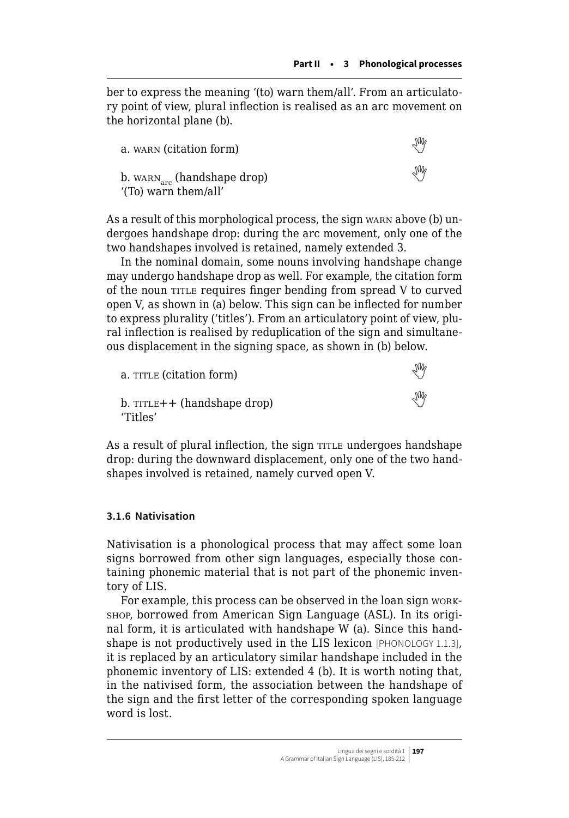ber to express the meaning '(to) warn them/all'. From an articulatory point of view, plural inflection is realised as an arc movement on the horizontal plane (b).

| a. warn (citation form)                                         | УŴ |
|-----------------------------------------------------------------|----|
| b. $WARN_{\text{arc}}$ (handshape drop)<br>'(To) warn them/all' | ₩  |

As a result of this morphological process, the sign warn above (b) undergoes handshape drop: during the arc movement, only one of the two handshapes involved is retained, namely extended 3.

In the nominal domain, some nouns involving handshape change may undergo handshape drop as well. For example, the citation form of the noun TITLE requires finger bending from spread V to curved open V, as shown in (a) below. This sign can be inflected for number to express plurality ('titles'). From an articulatory point of view, plural inflection is realised by reduplication of the sign and simultaneous displacement in the signing space, as shown in (b) below.

| a. TITLE (citation form)                      | УŴ |
|-----------------------------------------------|----|
| $b.$ TITLE + $+$ (handshape drop)<br>'Titles' | УŴ |

As a result of plural inflection, the sign TITLE undergoes handshape drop: during the downward displacement, only one of the two handshapes involved is retained, namely curved open V.

## **3.1.6 Nativisation**

Nativisation is a phonological process that may affect some loan signs borrowed from other sign languages, especially those containing phonemic material that is not part of the phonemic inventory of LIS.

For example, this process can be observed in the loan sign workshop, borrowed from American Sign Language (ASL). In its original form, it is articulated with handshape W (a). Since this handshape is not productively used in the LIS lexicon [PHONOLOGY 1.1.3], it is replaced by an articulatory similar handshape included in the phonemic inventory of LIS: extended 4 (b). It is worth noting that, in the nativised form, the association between the handshape of the sign and the first letter of the corresponding spoken language word is lost.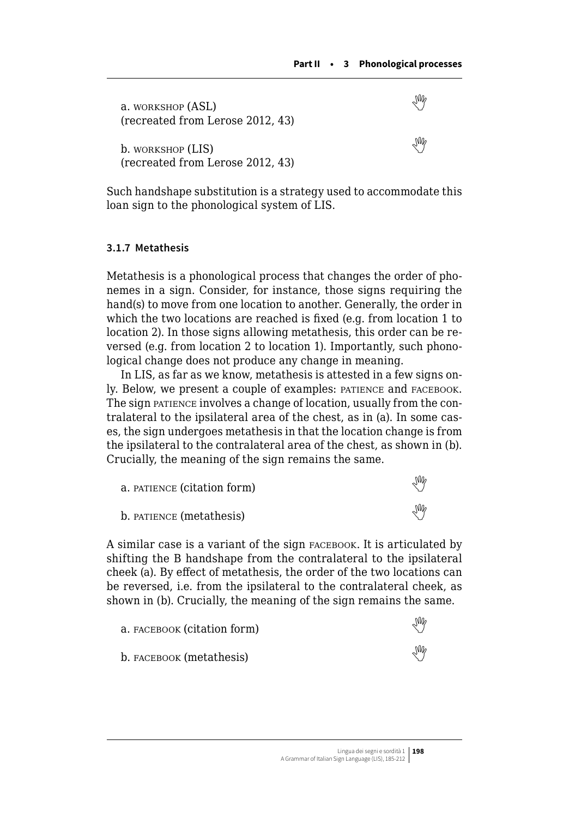<span id="page-13-0"></span>

| a. WORKSHOP (ASL)<br>(recreated from Lerose 2012, 43) |  |
|-------------------------------------------------------|--|
| b. WORKSHOP (LIS)<br>(recreated from Lerose 2012, 43) |  |

Such handshape substitution is a strategy used to accommodate this loan sign to the phonological system of LIS.

## **3.1.7 Metathesis**

Metathesis is a phonological process that changes the order of phonemes in a sign. Consider, for instance, those signs requiring the hand(s) to move from one location to another. Generally, the order in which the two locations are reached is fixed (e.g. from location 1 to location 2). In those signs allowing metathesis, this order can be reversed (e.g. from location 2 to location 1). Importantly, such phonological change does not produce any change in meaning.

In LIS, as far as we know, metathesis is attested in a few signs only. Below, we present a couple of examples: patience and facebook. The sign patience involves a change of location, usually from the contralateral to the ipsilateral area of the chest, as in (a). In some cases, the sign undergoes metathesis in that the location change is from the ipsilateral to the contralateral area of the chest, as shown in (b). Crucially, the meaning of the sign remains the same.

| a. PATIENCE (citation form) | Ind |
|-----------------------------|-----|
| b. PATIENCE (metathesis)    | Ins |

A similar case is a variant of the sign facebook. It is articulated by shifting the B handshape from the contralateral to the ipsilateral cheek (a). By effect of metathesis, the order of the two locations can be reversed, i.e. from the ipsilateral to the contralateral cheek, as shown in (b). Crucially, the meaning of the sign remains the same.

| а. ғасевоок (citation form) | УŴ |
|-----------------------------|----|
| b. ғасевоок (metathesis)    | ₩  |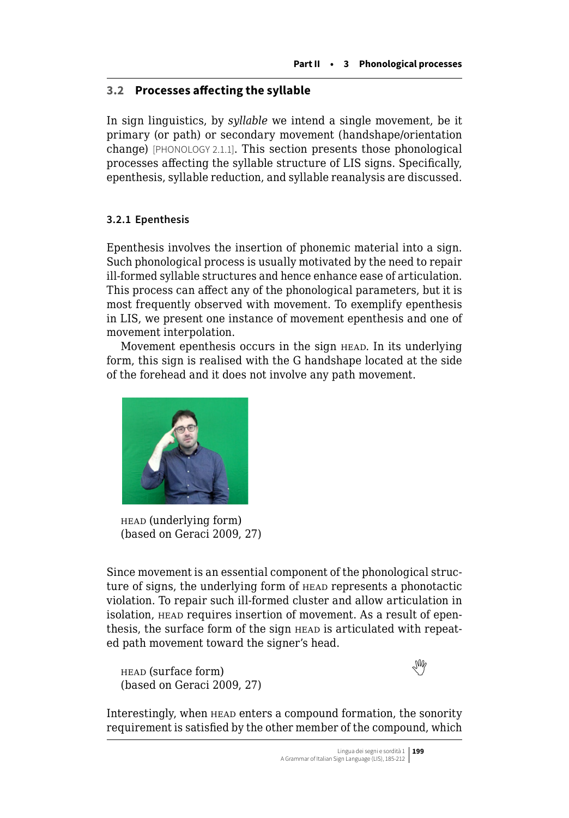# **3.2 Processes affecting the syllable**

In sign linguistics, by *syllable* we intend a single movement, be it primary (or path) or secondary movement (handshape/orientation change) [PHONOLOGY 2.1.1]. This section presents those phonological processes affecting the syllable structure of LIS signs. Specifically, epenthesis, syllable reduction, and syllable reanalysis are discussed.

## **3.2.1 Epenthesis**

Epenthesis involves the insertion of phonemic material into a sign. Such phonological process is usually motivated by the need to repair ill-formed syllable structures and hence enhance ease of articulation. This process can affect any of the phonological parameters, but it is most frequently observed with movement. To exemplify epenthesis in LIS, we present one instance of movement epenthesis and one of movement interpolation.

Movement epenthesis occurs in the sign HEAD. In its underlying form, this sign is realised with the G handshape located at the side of the forehead and it does not involve any path movement.



head (underlying form) (based on Geraci 2009, 27)

Since movement is an essential component of the phonological structure of signs, the underlying form of head represents a phonotactic violation. To repair such ill-formed cluster and allow articulation in isolation, head requires insertion of movement. As a result of epenthesis, the surface form of the sign HEAD is articulated with repeated path movement toward the signer's head.

 $h_{\text{HED}}$ (surface form) (based on Geraci 2009, 27)



Interestingly, when head enters a compound formation, the sonority requirement is satisfied by the other member of the compound, which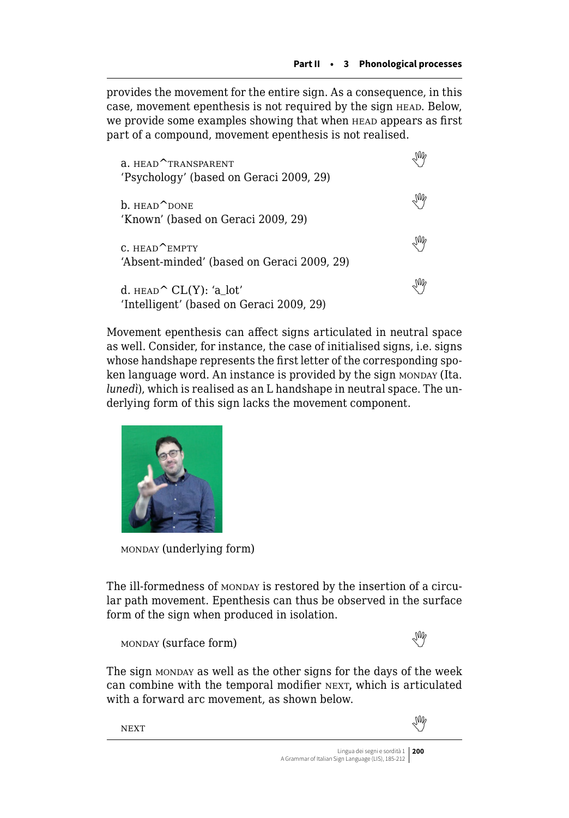provides the movement for the entire sign. As a consequence, in this case, movement epenthesis is not required by the sign HEAD. Below, we provide some examples showing that when head appears as first part of a compound, movement epenthesis is not realised.

| a. HEAD <sup>^</sup> TRANSPARENT<br>'Psychology' (based on Geraci 2009, 29) |  |
|-----------------------------------------------------------------------------|--|
| $h.$ HEAD $^{\prime}$ DONE<br>'Known' (based on Geraci 2009, 29)            |  |
| $C.$ HEAD <b>EMPTY</b><br>'Absent-minded' (based on Geraci 2009, 29)        |  |
| d. $HEAD^CL(Y)$ : 'a lot'<br>'Intelligent' (based on Geraci 2009, 29)       |  |

Movement epenthesis can affect signs articulated in neutral space as well. Consider, for instance, the case of initialised signs, i.e. signs whose handshape represents the first letter of the corresponding spoken language word. An instance is provided by the sign MONDAY (Ita. *lunedì*), which is realised as an L handshape in neutral space. The underlying form of this sign lacks the movement component.



monday (underlying form)

The ill-formedness of MONDAY is restored by the insertion of a circular path movement. Epenthesis can thus be observed in the surface form of the sign when produced in isolation.

 $\text{MONDAY}$ (surface form)



The sign monday as well as the other signs for the days of the week can combine with the temporal modifier NEXT, which is articulated with a forward arc movement, as shown below.

Nextwere also as the contract of the contract of the contract of the contract of the contract of the contract of the contract of the contract of the contract of the contract of the contract of the contract of the contract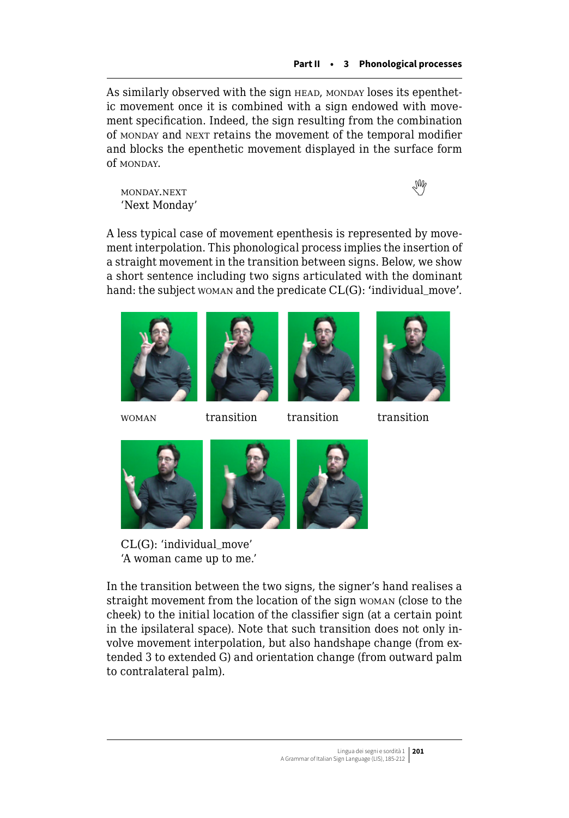As similarly observed with the sign HEAD, MONDAY loses its epenthetic movement once it is combined with a sign endowed with movement specification. Indeed, the sign resulting from the combination of monday and next retains the movement of the temporal modifier and blocks the epenthetic movement displayed in the surface form of MONDAY.

monday.next  'Next Monday'

A less typical case of movement epenthesis is represented by movement interpolation. This phonological process implies the insertion of a straight movement in the transition between signs. Below, we show a short sentence including two signs articulated with the dominant hand: the subject woman and the predicate CL(G): 'individual\_move'.









woman transition transition transition







CL(G): 'individual\_move' 'A woman came up to me.'

In the transition between the two signs, the signer's hand realises a straight movement from the location of the sign woman (close to the cheek) to the initial location of the classifier sign (at a certain point in the ipsilateral space). Note that such transition does not only involve movement interpolation, but also handshape change (from extended 3 to extended G) and orientation change (from outward palm to contralateral palm).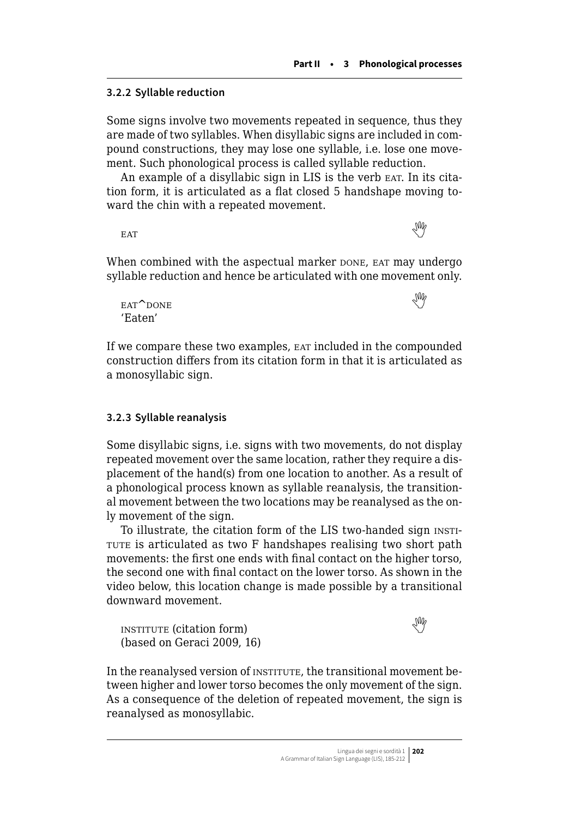### **3.2.2 Syllable reduction**

Some signs involve two movements repeated in sequence, thus they are made of two syllables. When disyllabic signs are included in compound constructions, they may lose one syllable, i.e. lose one movement. Such phonological process is called syllable reduction.

An example of a disyllabic sign in LIS is the verb EAT. In its citation form, it is articulated as a flat closed 5 handshape moving toward the chin with a repeated movement.

eatthe contract of the contract of the contract of the contract of the contract of the contract of the contract of the contract of the contract of the contract of the contract of the contract of the contract of the contra

When combined with the aspectual marker pone, ear may undergo syllable reduction and hence be articulated with one movement only.

 $\epsilon$ eat $\sim$ done 'Eaten'

If we compare these two examples, eat included in the compounded construction differs from its citation form in that it is articulated as a monosyllabic sign.

## **3.2.3 Syllable reanalysis**

Some disyllabic signs, i.e. signs with two movements, do not display repeated movement over the same location, rather they require a displacement of the hand(s) from one location to another. As a result of a phonological process known as syllable reanalysis, the transitional movement between the two locations may be reanalysed as the only movement of the sign.

To illustrate, the citation form of the LIS two-handed sign insti-TUTE is articulated as two F handshapes realising two short path movements: the first one ends with final contact on the higher torso, the second one with final contact on the lower torso. As shown in the video below, this location change is made possible by a transitional downward movement.

 $\blacksquare$ institute(citation form) (based on Geraci 2009, 16)



In the reanalysed version of institute, the transitional movement between higher and lower torso becomes the only movement of the sign. As a consequence of the deletion of repeated movement, the sign is reanalysed as monosyllabic.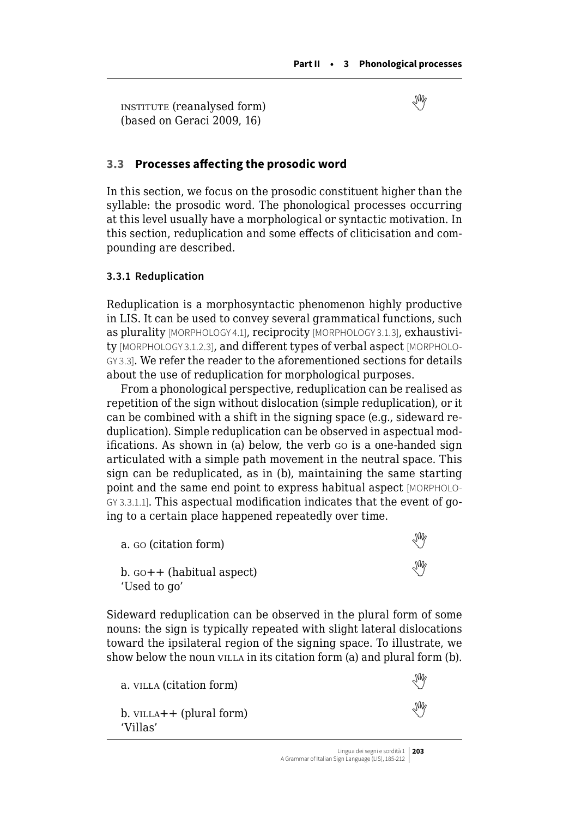<span id="page-18-0"></span>institute (reanalysed form)  (based on Geraci 2009, 16)

## **3.3 Processes affecting the prosodic word**

In this section, we focus on the prosodic constituent higher than the syllable: the prosodic word. The phonological processes occurring at this level usually have a morphological or syntactic motivation. In this section, reduplication and some effects of cliticisation and compounding are described.

#### **3.3.1 Reduplication**

Reduplication is a morphosyntactic phenomenon highly productive in LIS. It can be used to convey several grammatical functions, such as plurality [MORPHOLOGY 4.1], reciprocity [MORPHOLOGY 3.1.3], exhaustivity [MORPHOLOGY 3.1.2.3], and different types of verbal aspect [MORPHOLO-GY 3.3]. We refer the reader to the aforementioned sections for details about the use of reduplication for morphological purposes.

From a phonological perspective, reduplication can be realised as repetition of the sign without dislocation (simple reduplication), or it can be combined with a shift in the signing space (e.g., sideward reduplication). Simple reduplication can be observed in aspectual modifications. As shown in (a) below, the verb go is a one-handed sign articulated with a simple path movement in the neutral space. This sign can be reduplicated, as in (b), maintaining the same starting point and the same end point to express habitual aspect [MORPHOLO-GY 3.3.1.1]. This aspectual modification indicates that the event of going to a certain place happened repeatedly over time.

| a. Go (citation form)                             | ₩ |
|---------------------------------------------------|---|
| $b.$ $\cot + f$ (habitual aspect)<br>'Used to go' | ₩ |

Sideward reduplication can be observed in the plural form of some nouns: the sign is typically repeated with slight lateral dislocations toward the ipsilateral region of the signing space. To illustrate, we show below the noun villa in its citation form (a) and plural form (b).

| a. VILLA (citation form)                  | ₩ |
|-------------------------------------------|---|
| $b.$ VILLA $++$ (plural form)<br>'Villas' | ₩ |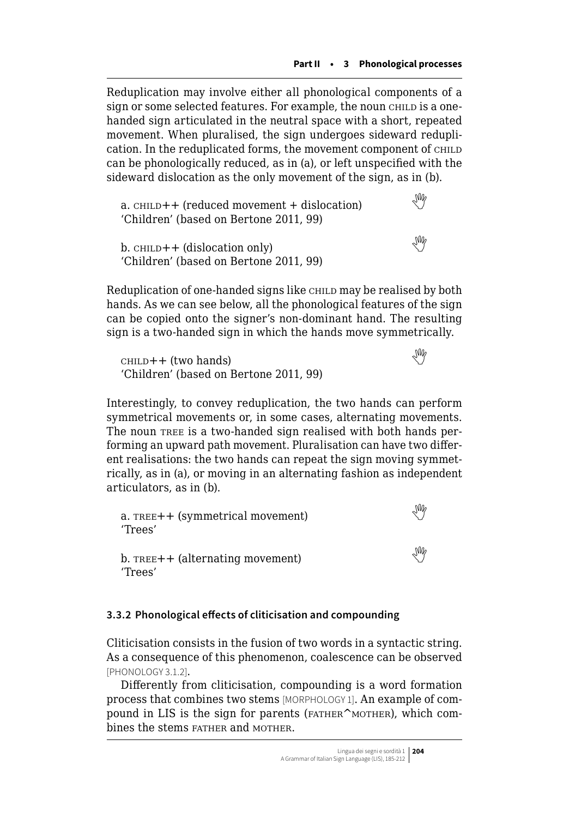Reduplication may involve either all phonological components of a sign or some selected features. For example, the noun child is a onehanded sign articulated in the neutral space with a short, repeated movement. When pluralised, the sign undergoes sideward reduplication. In the reduplicated forms, the movement component of CHILD can be phonologically reduced, as in (a), or left unspecified with the sideward dislocation as the only movement of the sign, as in (b).

 $a.$ child $++$  (reduced movement  $+$  dislocation) 'Children' (based on Bertone 2011, 99)

b.child + (dislocation only) 'Children' (based on Bertone 2011, 99)

Reduplication of one-handed signs like CHILD may be realised by both hands. As we can see below, all the phonological features of the sign can be copied onto the signer's non-dominant hand. The resulting sign is a two-handed sign in which the hands move symmetrically.

 $CHILD++$ (two hands) 'Children' (based on Bertone 2011, 99)

Interestingly, to convey reduplication, the two hands can perform symmetrical movements or, in some cases, alternating movements. The noun TREE is a two-handed sign realised with both hands performing an upward path movement. Pluralisation can have two different realisations: the two hands can repeat the sign moving symmetrically, as in (a), or moving in an alternating fashion as independent articulators, as in (b).

a. tree++ (symmetrical movement)  'Trees' b.TREE++ (alternating movement) 'Trees'

## **3.3.2 Phonological effects of cliticisation and compounding**

Cliticisation consists in the fusion of two words in a syntactic string. As a consequence of this phenomenon, coalescence can be observed [PHONOLOGY 3.1.2].

Differently from cliticisation, compounding is a word formation process that combines two stems [MORPHOLOGY 1]. An example of compound in LIS is the sign for parents (FATHER^MOTHER), which combines the stems father and mother.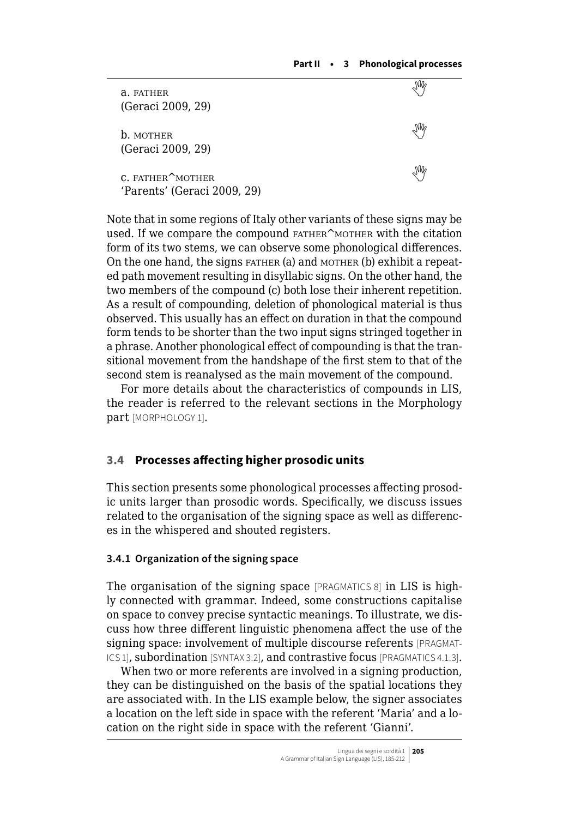<span id="page-20-0"></span>

| a. FATHER<br>(Geraci 2009, 29)                               |                |
|--------------------------------------------------------------|----------------|
| <b>b.</b> MOTHER<br>(Geraci 2009, 29)                        |                |
| C. FATHER <sup>A</sup> MOTHER<br>'Parents' (Geraci 2009, 29) | $\mathbb{R}^N$ |

Note that in some regions of Italy other variants of these signs may be used. If we compare the compound FATHER^MOTHER with the citation form of its two stems, we can observe some phonological differences. On the one hand, the signs father (a) and mother (b) exhibit a repeated path movement resulting in disyllabic signs. On the other hand, the two members of the compound (c) both lose their inherent repetition. As a result of compounding, deletion of phonological material is thus observed. This usually has an effect on duration in that the compound form tends to be shorter than the two input signs stringed together in a phrase. Another phonological effect of compounding is that the transitional movement from the handshape of the first stem to that of the second stem is reanalysed as the main movement of the compound.

For more details about the characteristics of compounds in LIS, the reader is referred to the relevant sections in the Morphology part [MORPHOLOGY 1].

## **3.4 Processes affecting higher prosodic units**

This section presents some phonological processes affecting prosodic units larger than prosodic words. Specifically, we discuss issues related to the organisation of the signing space as well as differences in the whispered and shouted registers.

#### **3.4.1 Organization of the signing space**

The organisation of the signing space [PRAGMATICS 8] in LIS is highly connected with grammar. Indeed, some constructions capitalise on space to convey precise syntactic meanings. To illustrate, we discuss how three different linguistic phenomena affect the use of the signing space: involvement of multiple discourse referents [PRAGMAT-ICS 1], subordination [SYNTAX 3.2], and contrastive focus [PRAGMATICS 4.1.3].

When two or more referents are involved in a signing production, they can be distinguished on the basis of the spatial locations they are associated with. In the LIS example below, the signer associates a location on the left side in space with the referent 'Maria' and a location on the right side in space with the referent 'Gianni'.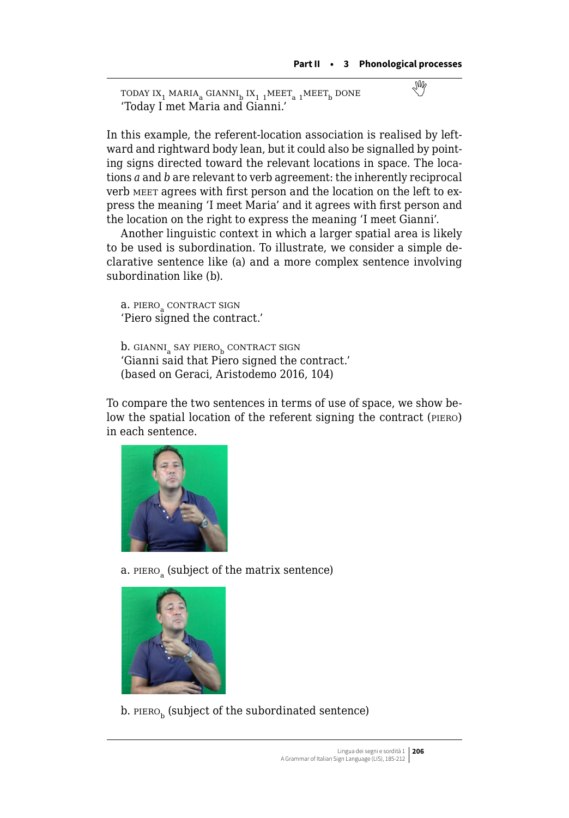$\texttt{TDDAY IX}_1 \texttt{ MARIA}_a \texttt{GIANNI}_b \texttt{IX}_{1\texttt{1}} \texttt{MEET}_a \texttt{1MEET}_b \texttt{DONE} \tag{\text{W}^1, \text{W}^2, \text{W}^3, \text{W}^4, \text{W}^5, \text{W}^6, \text{W}^7, \text{W}^8, \text{W}^9, \text{W}^9, \text{W}^8, \text{W}^9, \text{W}^9, \text{W}^9, \text{W}^9, \text{W}^9, \text{W}^9, \text{W}^9, \text{W}^9, \text$  $\texttt{TDDAY IX}_1 \texttt{ MARIA}_a \texttt{GIANNI}_b \texttt{IX}_{1\texttt{1}} \texttt{MEET}_a \texttt{1MEET}_b \texttt{DONE} \tag{\text{W}^1, \text{W}^2, \text{W}^3, \text{W}^4, \text{W}^5, \text{W}^6, \text{W}^7, \text{W}^8, \text{W}^9, \text{W}^9, \text{W}^8, \text{W}^9, \text{W}^9, \text{W}^9, \text{W}^9, \text{W}^9, \text{W}^9, \text{W}^9, \text{W}^9, \text$  $\texttt{TDDAY IX}_1 \texttt{ MARIA}_a \texttt{GIANNI}_b \texttt{IX}_{1\texttt{1}} \texttt{MEET}_a \texttt{1MEET}_b \texttt{DONE} \tag{\text{W}^1, \text{W}^2, \text{W}^3, \text{W}^4, \text{W}^5, \text{W}^6, \text{W}^7, \text{W}^8, \text{W}^9, \text{W}^9, \text{W}^8, \text{W}^9, \text{W}^9, \text{W}^9, \text{W}^9, \text{W}^9, \text{W}^9, \text{W}^9, \text{W}^9, \text$ 'Today I met Maria and Gianni.'

In this example, the referent-location association is realised by leftward and rightward body lean, but it could also be signalled by pointing signs directed toward the relevant locations in space. The locations *a* and *b* are relevant to verb agreement: the inherently reciprocal verb meet agrees with first person and the location on the left to express the meaning 'I meet Maria' and it agrees with first person and the location on the right to express the meaning 'I meet Gianni'.

Another linguistic context in which a larger spatial area is likely to be used is subordination. To illustrate, we consider a simple declarative sentence like (a) and a more complex sentence involving subordination like (b).

a. PIERO<sub>a</sub> CONTRACT SIGN 'Piero signed the contract.'

b. GIANNI<sub>a</sub> SAY PIERO<sub>b</sub> CONTRACT SIGN 'Gianni said that Piero signed the contract.' (based on Geraci, Aristodemo 2016, 104)

To compare the two sentences in terms of use of space, we show below the spatial location of the referent signing the contract (piero) in each sentence.



a. PIERO<sub>s</sub> (subject of the matrix sentence)



b. PIERO<sub>b</sub> (subject of the subordinated sentence)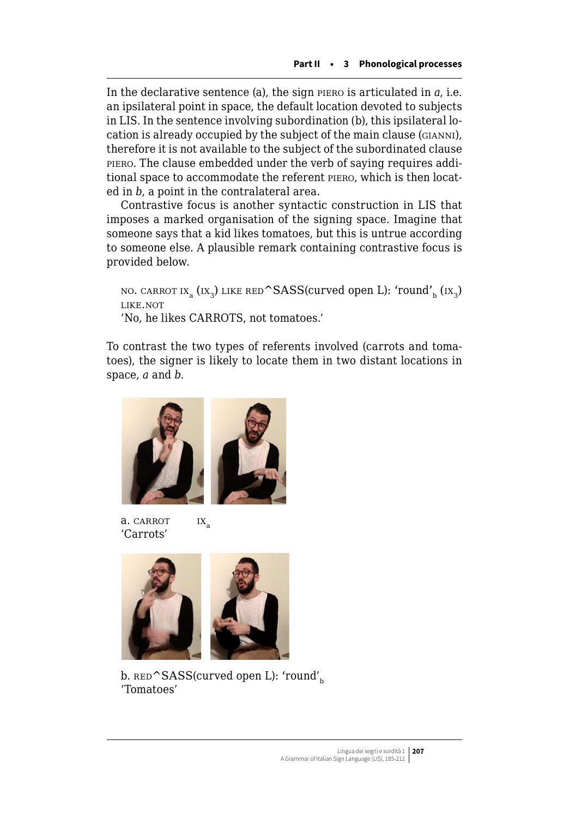In the declarative sentence (a), the sign piero is articulated in *a*, i.e. an ipsilateral point in space, the default location devoted to subjects in LIS. In the sentence involving subordination (b), this ipsilateral location is already occupied by the subject of the main clause (gianni), therefore it is not available to the subject of the subordinated clause piero. The clause embedded under the verb of saying requires additional space to accommodate the referent piero, which is then located in *b*, a point in the contralateral area.

Contrastive focus is another syntactic construction in LIS that imposes a marked organisation of the signing space. Imagine that someone says that a kid likes tomatoes, but this is untrue according to someone else. A plausible remark containing contrastive focus is provided below.

NO. CARROT IX<sub>a</sub> (IX<sub>3</sub>) LIKE RED<sup> $\sim$ </sup>SASS(curved open L): 'round'<sub>b</sub> (IX<sub>3</sub>) like.not 'No, he likes CARROTS, not tomatoes.'

To contrast the two types of referents involved (carrots and tomatoes), the signer is likely to locate them in two distant locations in space, *a* and *b*.







b.  $RED$ <sup> $\triangle$ </sup>SASS(curved open L): 'round'<sub>b</sub> 'Tomatoes'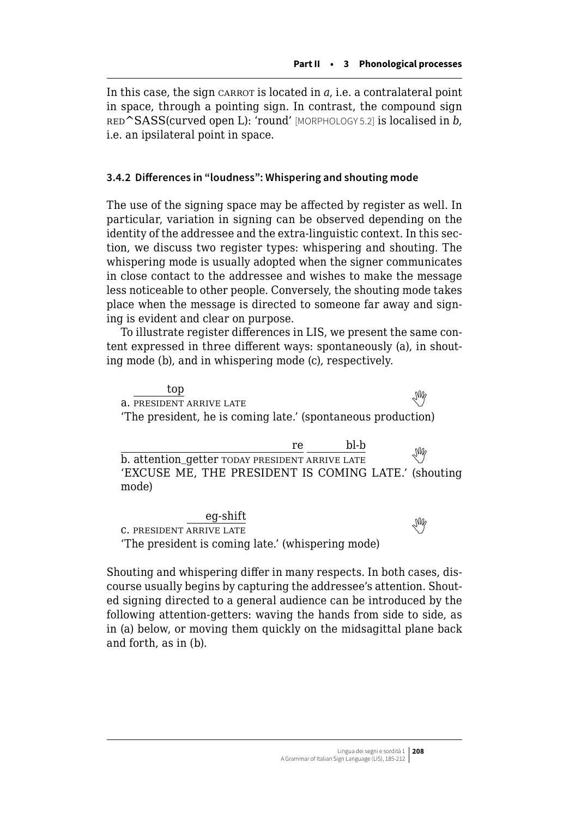In this case, the sign carrot is located in *a*, i.e. a contralateral point in space, through a pointing sign. In contrast, the compound sign red^SASS(curved open L): 'round' [MORPHOLOGY 5.2] is localised in *b*, i.e. an ipsilateral point in space.

## **3.4.2 Differences in "loudness": Whispering and shouting mode**

The use of the signing space may be affected by register as well. In particular, variation in signing can be observed depending on the identity of the addressee and the extra-linguistic context. In this section, we discuss two register types: whispering and shouting. The whispering mode is usually adopted when the signer communicates in close contact to the addressee and wishes to make the message less noticeable to other people. Conversely, the shouting mode takes place when the message is directed to someone far away and signing is evident and clear on purpose.

To illustrate register differences in LIS, we present the same content expressed in three different ways: spontaneously (a), in shouting mode (b), and in whispering mode (c), respectively.

 top  $\frac{1}{2}$ a. PRESIDENT ARRIVE LATE 'The president, he is coming late.' (spontaneous production)

re bl-b  $\overline{b}$ .attention\_getter TODAY PRESIDENT ARRIVE LATE 'EXCUSE ME, THE PRESIDENT IS COMING LATE.' (shouting mode)

eg-shift **c.PRESIDENT ARRIVE LATE** 'The president is coming late.' (whispering mode)

Shouting and whispering differ in many respects. In both cases, discourse usually begins by capturing the addressee's attention. Shouted signing directed to a general audience can be introduced by the following attention-getters: waving the hands from side to side, as in (a) below, or moving them quickly on the midsagittal plane back and forth, as in (b).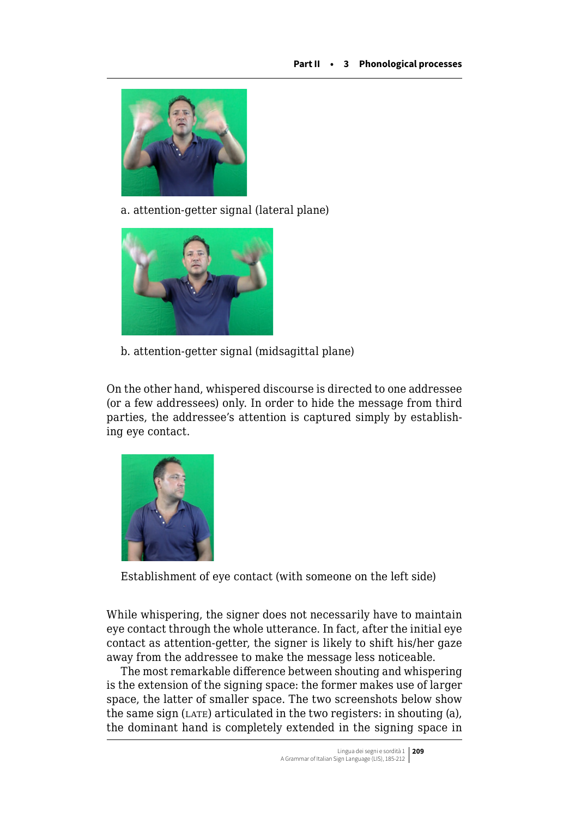

a. attention-getter signal (lateral plane)



b. attention-getter signal (midsagittal plane)

On the other hand, whispered discourse is directed to one addressee (or a few addressees) only. In order to hide the message from third parties, the addressee's attention is captured simply by establishing eye contact.



Establishment of eye contact (with someone on the left side)

While whispering, the signer does not necessarily have to maintain eye contact through the whole utterance. In fact, after the initial eye contact as attention-getter, the signer is likely to shift his/her gaze away from the addressee to make the message less noticeable.

The most remarkable difference between shouting and whispering is the extension of the signing space: the former makes use of larger space, the latter of smaller space. The two screenshots below show the same sign  $(LATE)$  articulated in the two registers: in shouting (a), the dominant hand is completely extended in the signing space in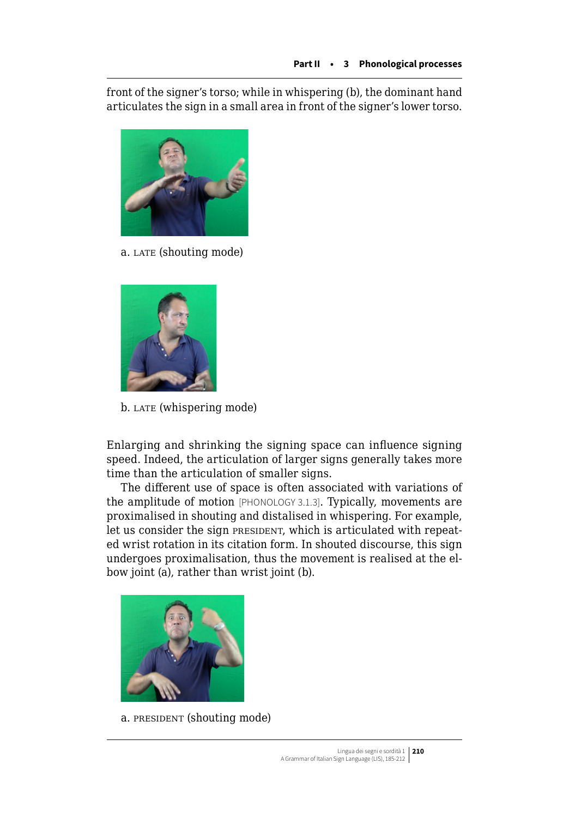front of the signer's torso; while in whispering (b), the dominant hand articulates the sign in a small area in front of the signer's lower torso.



a. LATE (shouting mode)



b. LATE (whispering mode)

Enlarging and shrinking the signing space can influence signing speed. Indeed, the articulation of larger signs generally takes more time than the articulation of smaller signs.

The different use of space is often associated with variations of the amplitude of motion [PHONOLOGY 3.1.3]. Typically, movements are proximalised in shouting and distalised in whispering. For example, let us consider the sign president, which is articulated with repeated wrist rotation in its citation form. In shouted discourse, this sign undergoes proximalisation, thus the movement is realised at the elbow joint (a), rather than wrist joint (b).



a. PRESIDENT (shouting mode)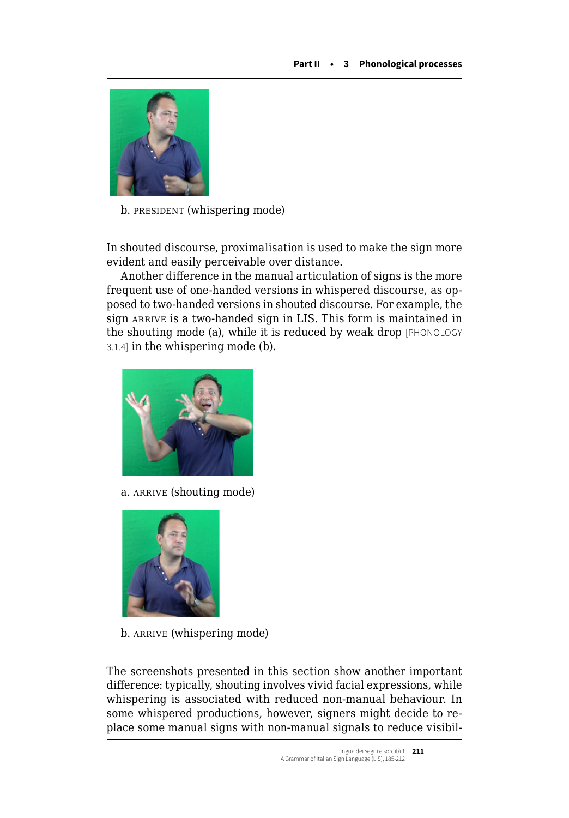

b. PRESIDENT (whispering mode)

In shouted discourse, proximalisation is used to make the sign more evident and easily perceivable over distance.

Another difference in the manual articulation of signs is the more frequent use of one-handed versions in whispered discourse, as opposed to two-handed versions in shouted discourse. For example, the sign ARRIVE is a two-handed sign in LIS. This form is maintained in the shouting mode (a), while it is reduced by weak drop [PHONOLOGY 3.1.4] in the whispering mode (b).



a. arrive (shouting mode)



b. ARRIVE (whispering mode)

The screenshots presented in this section show another important difference: typically, shouting involves vivid facial expressions, while whispering is associated with reduced non-manual behaviour. In some whispered productions, however, signers might decide to replace some manual signs with non-manual signals to reduce visibil